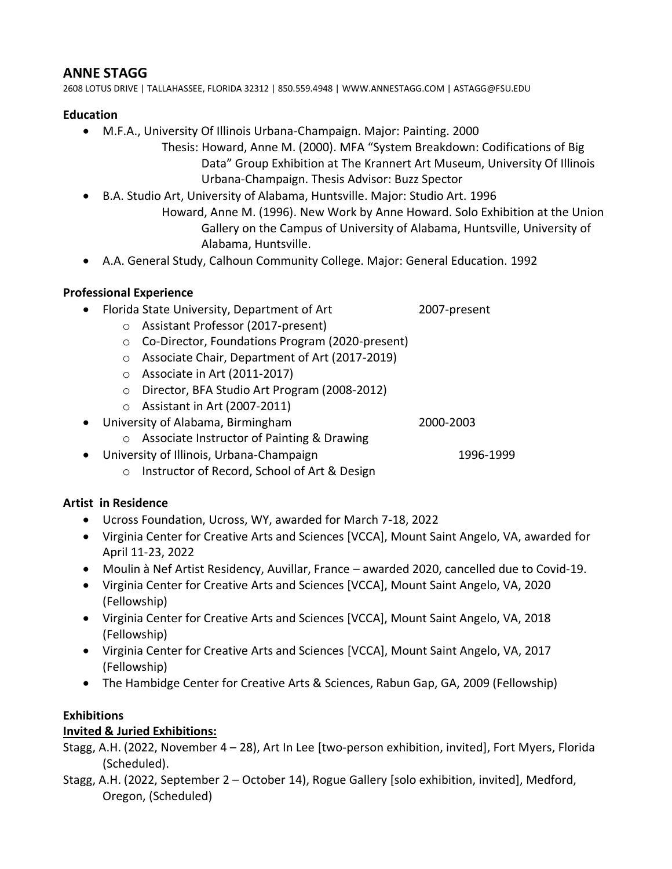### **ANNE STAGG**

2608 LOTUS DRIVE | TALLAHASSEE, FLORIDA 32312 | 850.559.4948 | WWW.ANNESTAGG.COM | ASTAGG@FSU.EDU

### **Education**

- M.F.A., University Of Illinois Urbana-Champaign. Major: Painting. 2000
	- Thesis: Howard, Anne M. (2000). MFA "System Breakdown: Codifications of Big Data" Group Exhibition at The Krannert Art Museum, University Of Illinois Urbana-Champaign. Thesis Advisor: Buzz Spector
- B.A. Studio Art, University of Alabama, Huntsville. Major: Studio Art. 1996
	- Howard, Anne M. (1996). New Work by Anne Howard. Solo Exhibition at the Union Gallery on the Campus of University of Alabama, Huntsville, University of Alabama, Huntsville.
- A.A. General Study, Calhoun Community College. Major: General Education. 1992

# **Professional Experience**

- Florida State University, Department of Art 2007-present
	- o Assistant Professor (2017-present)
	- o Co-Director, Foundations Program (2020-present)
	- o Associate Chair, Department of Art (2017-2019)
	- o Associate in Art (2011-2017)
	- o Director, BFA Studio Art Program (2008-2012)
	- o Assistant in Art (2007-2011)
- University of Alabama, Birmingham 2000-2003
	- o Associate Instructor of Painting & Drawing
- University of Illinois, Urbana-Champaign 1996-1999
	- o Instructor of Record, School of Art & Design

# **Artist in Residence**

- Ucross Foundation, Ucross, WY, awarded for March 7-18, 2022
- Virginia Center for Creative Arts and Sciences [VCCA], Mount Saint Angelo, VA, awarded for April 11-23, 2022
- Moulin à Nef Artist Residency, Auvillar, France awarded 2020, cancelled due to Covid-19.
- Virginia Center for Creative Arts and Sciences [VCCA], Mount Saint Angelo, VA, 2020 (Fellowship)
- Virginia Center for Creative Arts and Sciences [VCCA], Mount Saint Angelo, VA, 2018 (Fellowship)
- Virginia Center for Creative Arts and Sciences [VCCA], Mount Saint Angelo, VA, 2017 (Fellowship)
- The Hambidge Center for Creative Arts & Sciences, Rabun Gap, GA, 2009 (Fellowship)

### **Exhibitions**

# **Invited & Juried Exhibitions:**

Stagg, A.H. (2022, November 4 – 28), Art In Lee [two-person exhibition, invited], Fort Myers, Florida (Scheduled).

Stagg, A.H. (2022, September 2 – October 14), Rogue Gallery [solo exhibition, invited], Medford, Oregon, (Scheduled)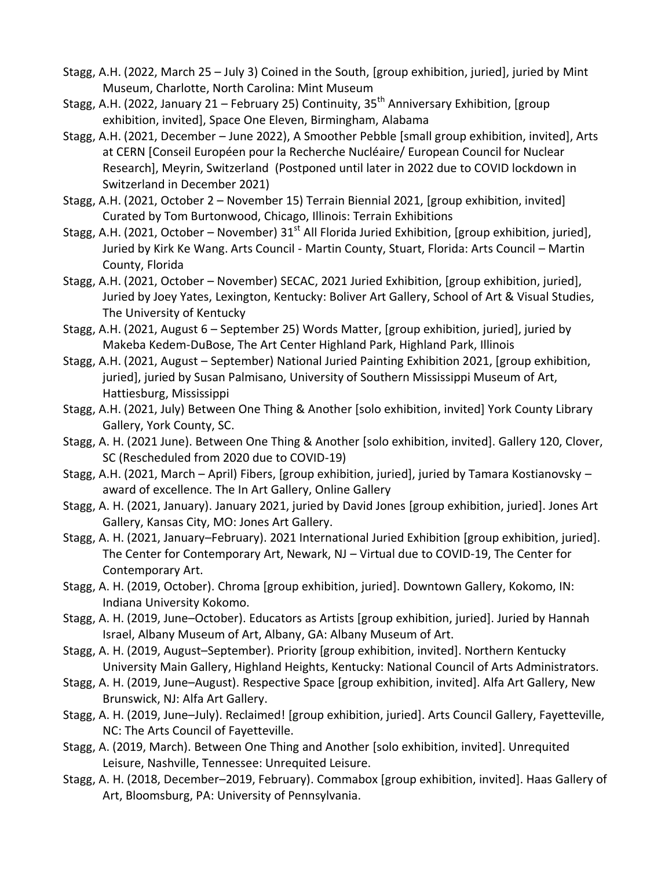- Stagg, A.H. (2022, March 25 July 3) Coined in the South, [group exhibition, juried], juried by Mint Museum, Charlotte, North Carolina: Mint Museum
- Stagg, A.H. (2022, January 21 February 25) Continuity,  $35<sup>th</sup>$  Anniversary Exhibition, [group exhibition, invited], Space One Eleven, Birmingham, Alabama
- Stagg, A.H. (2021, December June 2022), A Smoother Pebble [small group exhibition, invited], Arts at CERN [Conseil Européen pour la Recherche Nucléaire/ European Council for Nuclear Research], Meyrin, Switzerland (Postponed until later in 2022 due to COVID lockdown in Switzerland in December 2021)
- Stagg, A.H. (2021, October 2 November 15) Terrain Biennial 2021, [group exhibition, invited] Curated by Tom Burtonwood, Chicago, Illinois: Terrain Exhibitions
- Stagg, A.H. (2021, October November)  $31<sup>st</sup>$  All Florida Juried Exhibition, [group exhibition, juried], Juried by Kirk Ke Wang. Arts Council - Martin County, Stuart, Florida: Arts Council – Martin County, Florida
- Stagg, A.H. (2021, October November) SECAC, 2021 Juried Exhibition, [group exhibition, juried], Juried by Joey Yates, Lexington, Kentucky: Boliver Art Gallery, School of Art & Visual Studies, The University of Kentucky
- Stagg, A.H. (2021, August 6 September 25) Words Matter, [group exhibition, juried], juried by Makeba Kedem-DuBose, The Art Center Highland Park, Highland Park, Illinois
- Stagg, A.H. (2021, August September) National Juried Painting Exhibition 2021, [group exhibition, juried], juried by Susan Palmisano, University of Southern Mississippi Museum of Art, Hattiesburg, Mississippi
- Stagg, A.H. (2021, July) Between One Thing & Another [solo exhibition, invited] York County Library Gallery, York County, SC.
- Stagg, A. H. (2021 June). Between One Thing & Another [solo exhibition, invited]. Gallery 120, Clover, SC (Rescheduled from 2020 due to COVID-19)
- Stagg, A.H. (2021, March April) Fibers, [group exhibition, juried], juried by Tamara Kostianovsky award of excellence. The In Art Gallery, Online Gallery
- Stagg, A. H. (2021, January). January 2021, juried by David Jones [group exhibition, juried]. Jones Art Gallery, Kansas City, MO: Jones Art Gallery.
- Stagg, A. H. (2021, January–February). 2021 International Juried Exhibition [group exhibition, juried]. The Center for Contemporary Art, Newark, NJ – Virtual due to COVID-19, The Center for Contemporary Art.
- Stagg, A. H. (2019, October). Chroma [group exhibition, juried]. Downtown Gallery, Kokomo, IN: Indiana University Kokomo.
- Stagg, A. H. (2019, June–October). Educators as Artists [group exhibition, juried]. Juried by Hannah Israel, Albany Museum of Art, Albany, GA: Albany Museum of Art.
- Stagg, A. H. (2019, August–September). Priority [group exhibition, invited]. Northern Kentucky University Main Gallery, Highland Heights, Kentucky: National Council of Arts Administrators.
- Stagg, A. H. (2019, June–August). Respective Space [group exhibition, invited]. Alfa Art Gallery, New Brunswick, NJ: Alfa Art Gallery.
- Stagg, A. H. (2019, June–July). Reclaimed! [group exhibition, juried]. Arts Council Gallery, Fayetteville, NC: The Arts Council of Fayetteville.
- Stagg, A. (2019, March). Between One Thing and Another [solo exhibition, invited]. Unrequited Leisure, Nashville, Tennessee: Unrequited Leisure.
- Stagg, A. H. (2018, December–2019, February). Commabox [group exhibition, invited]. Haas Gallery of Art, Bloomsburg, PA: University of Pennsylvania.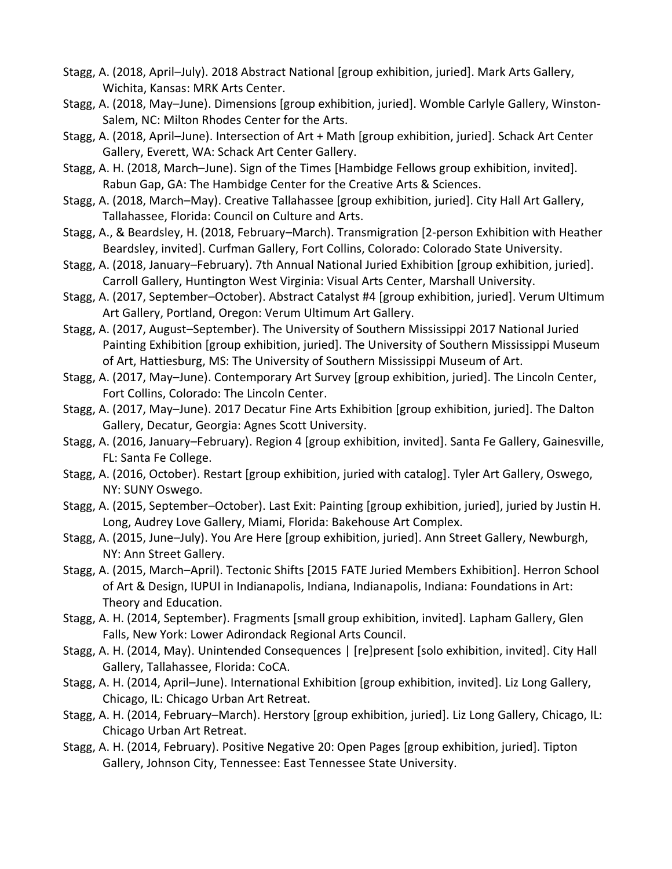- Stagg, A. (2018, April–July). 2018 Abstract National [group exhibition, juried]. Mark Arts Gallery, Wichita, Kansas: MRK Arts Center.
- Stagg, A. (2018, May–June). Dimensions [group exhibition, juried]. Womble Carlyle Gallery, Winston-Salem, NC: Milton Rhodes Center for the Arts.
- Stagg, A. (2018, April–June). Intersection of Art + Math [group exhibition, juried]. Schack Art Center Gallery, Everett, WA: Schack Art Center Gallery.
- Stagg, A. H. (2018, March–June). Sign of the Times [Hambidge Fellows group exhibition, invited]. Rabun Gap, GA: The Hambidge Center for the Creative Arts & Sciences.
- Stagg, A. (2018, March–May). Creative Tallahassee [group exhibition, juried]. City Hall Art Gallery, Tallahassee, Florida: Council on Culture and Arts.
- Stagg, A., & Beardsley, H. (2018, February–March). Transmigration [2-person Exhibition with Heather Beardsley, invited]. Curfman Gallery, Fort Collins, Colorado: Colorado State University.
- Stagg, A. (2018, January–February). 7th Annual National Juried Exhibition [group exhibition, juried]. Carroll Gallery, Huntington West Virginia: Visual Arts Center, Marshall University.
- Stagg, A. (2017, September–October). Abstract Catalyst #4 [group exhibition, juried]. Verum Ultimum Art Gallery, Portland, Oregon: Verum Ultimum Art Gallery.
- Stagg, A. (2017, August–September). The University of Southern Mississippi 2017 National Juried Painting Exhibition [group exhibition, juried]. The University of Southern Mississippi Museum of Art, Hattiesburg, MS: The University of Southern Mississippi Museum of Art.
- Stagg, A. (2017, May–June). Contemporary Art Survey [group exhibition, juried]. The Lincoln Center, Fort Collins, Colorado: The Lincoln Center.
- Stagg, A. (2017, May–June). 2017 Decatur Fine Arts Exhibition [group exhibition, juried]. The Dalton Gallery, Decatur, Georgia: Agnes Scott University.
- Stagg, A. (2016, January–February). Region 4 [group exhibition, invited]. Santa Fe Gallery, Gainesville, FL: Santa Fe College.
- Stagg, A. (2016, October). Restart [group exhibition, juried with catalog]. Tyler Art Gallery, Oswego, NY: SUNY Oswego.
- Stagg, A. (2015, September–October). Last Exit: Painting [group exhibition, juried], juried by Justin H. Long, Audrey Love Gallery, Miami, Florida: Bakehouse Art Complex.
- Stagg, A. (2015, June–July). You Are Here [group exhibition, juried]. Ann Street Gallery, Newburgh, NY: Ann Street Gallery.
- Stagg, A. (2015, March–April). Tectonic Shifts [2015 FATE Juried Members Exhibition]. Herron School of Art & Design, IUPUI in Indianapolis, Indiana, Indianapolis, Indiana: Foundations in Art: Theory and Education.
- Stagg, A. H. (2014, September). Fragments [small group exhibition, invited]. Lapham Gallery, Glen Falls, New York: Lower Adirondack Regional Arts Council.
- Stagg, A. H. (2014, May). Unintended Consequences | [re]present [solo exhibition, invited]. City Hall Gallery, Tallahassee, Florida: CoCA.
- Stagg, A. H. (2014, April–June). International Exhibition [group exhibition, invited]. Liz Long Gallery, Chicago, IL: Chicago Urban Art Retreat.
- Stagg, A. H. (2014, February–March). Herstory [group exhibition, juried]. Liz Long Gallery, Chicago, IL: Chicago Urban Art Retreat.
- Stagg, A. H. (2014, February). Positive Negative 20: Open Pages [group exhibition, juried]. Tipton Gallery, Johnson City, Tennessee: East Tennessee State University.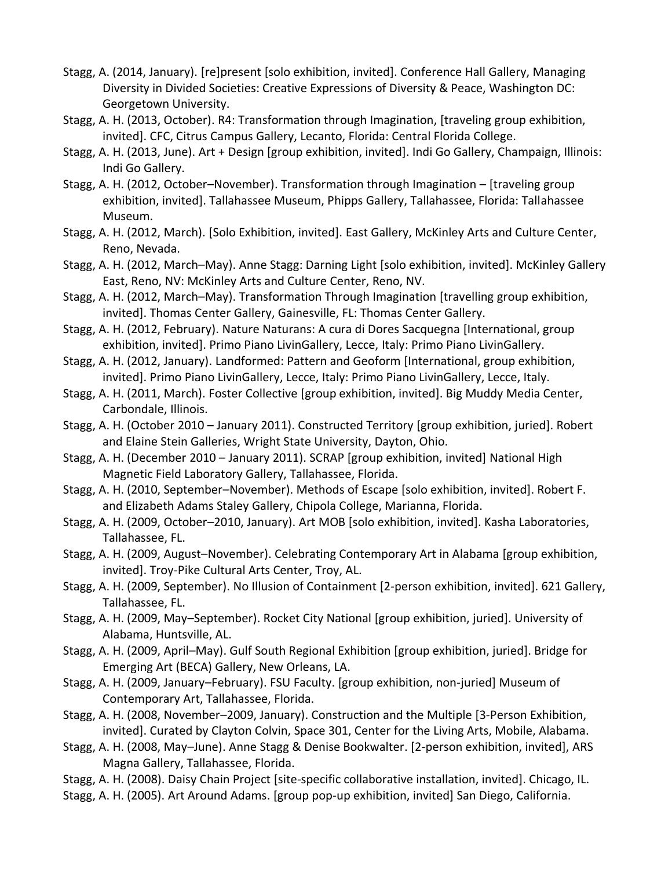- Stagg, A. (2014, January). [re]present [solo exhibition, invited]. Conference Hall Gallery, Managing Diversity in Divided Societies: Creative Expressions of Diversity & Peace, Washington DC: Georgetown University.
- Stagg, A. H. (2013, October). R4: Transformation through Imagination, [traveling group exhibition, invited]. CFC, Citrus Campus Gallery, Lecanto, Florida: Central Florida College.
- Stagg, A. H. (2013, June). Art + Design [group exhibition, invited]. Indi Go Gallery, Champaign, Illinois: Indi Go Gallery.
- Stagg, A. H. (2012, October–November). Transformation through Imagination [traveling group exhibition, invited]. Tallahassee Museum, Phipps Gallery, Tallahassee, Florida: Tallahassee Museum.
- Stagg, A. H. (2012, March). [Solo Exhibition, invited]. East Gallery, McKinley Arts and Culture Center, Reno, Nevada.
- Stagg, A. H. (2012, March–May). Anne Stagg: Darning Light [solo exhibition, invited]. McKinley Gallery East, Reno, NV: McKinley Arts and Culture Center, Reno, NV.
- Stagg, A. H. (2012, March–May). Transformation Through Imagination [travelling group exhibition, invited]. Thomas Center Gallery, Gainesville, FL: Thomas Center Gallery.
- Stagg, A. H. (2012, February). Nature Naturans: A cura di Dores Sacquegna [International, group exhibition, invited]. Primo Piano LivinGallery, Lecce, Italy: Primo Piano LivinGallery.
- Stagg, A. H. (2012, January). Landformed: Pattern and Geoform [International, group exhibition, invited]. Primo Piano LivinGallery, Lecce, Italy: Primo Piano LivinGallery, Lecce, Italy.
- Stagg, A. H. (2011, March). Foster Collective [group exhibition, invited]. Big Muddy Media Center, Carbondale, Illinois.
- Stagg, A. H. (October 2010 January 2011). Constructed Territory [group exhibition, juried]. Robert and Elaine Stein Galleries, Wright State University, Dayton, Ohio.
- Stagg, A. H. (December 2010 January 2011). SCRAP [group exhibition, invited] National High Magnetic Field Laboratory Gallery, Tallahassee, Florida.
- Stagg, A. H. (2010, September–November). Methods of Escape [solo exhibition, invited]. Robert F. and Elizabeth Adams Staley Gallery, Chipola College, Marianna, Florida.
- Stagg, A. H. (2009, October–2010, January). Art MOB [solo exhibition, invited]. Kasha Laboratories, Tallahassee, FL.
- Stagg, A. H. (2009, August–November). Celebrating Contemporary Art in Alabama [group exhibition, invited]. Troy-Pike Cultural Arts Center, Troy, AL.
- Stagg, A. H. (2009, September). No Illusion of Containment [2-person exhibition, invited]. 621 Gallery, Tallahassee, FL.
- Stagg, A. H. (2009, May–September). Rocket City National [group exhibition, juried]. University of Alabama, Huntsville, AL.
- Stagg, A. H. (2009, April–May). Gulf South Regional Exhibition [group exhibition, juried]. Bridge for Emerging Art (BECA) Gallery, New Orleans, LA.
- Stagg, A. H. (2009, January–February). FSU Faculty. [group exhibition, non-juried] Museum of Contemporary Art, Tallahassee, Florida.
- Stagg, A. H. (2008, November–2009, January). Construction and the Multiple [3-Person Exhibition, invited]. Curated by Clayton Colvin, Space 301, Center for the Living Arts, Mobile, Alabama.
- Stagg, A. H. (2008, May–June). Anne Stagg & Denise Bookwalter. [2-person exhibition, invited], ARS Magna Gallery, Tallahassee, Florida.
- Stagg, A. H. (2008). Daisy Chain Project [site-specific collaborative installation, invited]. Chicago, IL.
- Stagg, A. H. (2005). Art Around Adams. [group pop-up exhibition, invited] San Diego, California.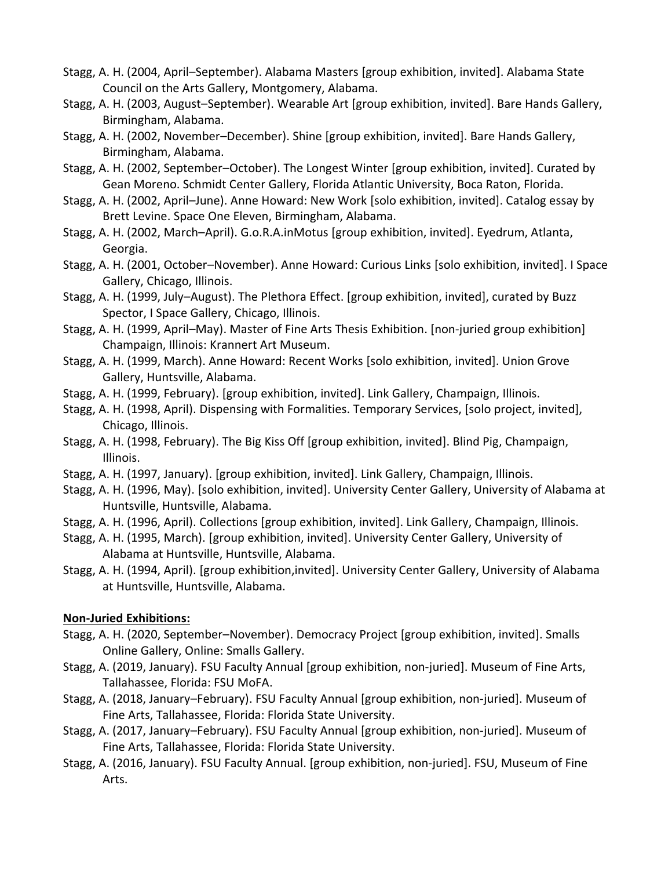- Stagg, A. H. (2004, April–September). Alabama Masters [group exhibition, invited]. Alabama State Council on the Arts Gallery, Montgomery, Alabama.
- Stagg, A. H. (2003, August–September). Wearable Art [group exhibition, invited]. Bare Hands Gallery, Birmingham, Alabama.
- Stagg, A. H. (2002, November–December). Shine [group exhibition, invited]. Bare Hands Gallery, Birmingham, Alabama.
- Stagg, A. H. (2002, September–October). The Longest Winter [group exhibition, invited]. Curated by Gean Moreno. Schmidt Center Gallery, Florida Atlantic University, Boca Raton, Florida.
- Stagg, A. H. (2002, April–June). Anne Howard: New Work [solo exhibition, invited]. Catalog essay by Brett Levine. Space One Eleven, Birmingham, Alabama.
- Stagg, A. H. (2002, March–April). G.o.R.A.inMotus [group exhibition, invited]. Eyedrum, Atlanta, Georgia.
- Stagg, A. H. (2001, October–November). Anne Howard: Curious Links [solo exhibition, invited]. I Space Gallery, Chicago, Illinois.
- Stagg, A. H. (1999, July–August). The Plethora Effect. [group exhibition, invited], curated by Buzz Spector, I Space Gallery, Chicago, Illinois.
- Stagg, A. H. (1999, April–May). Master of Fine Arts Thesis Exhibition. [non-juried group exhibition] Champaign, Illinois: Krannert Art Museum.
- Stagg, A. H. (1999, March). Anne Howard: Recent Works [solo exhibition, invited]. Union Grove Gallery, Huntsville, Alabama.
- Stagg, A. H. (1999, February). [group exhibition, invited]. Link Gallery, Champaign, Illinois.
- Stagg, A. H. (1998, April). Dispensing with Formalities. Temporary Services, [solo project, invited], Chicago, Illinois.
- Stagg, A. H. (1998, February). The Big Kiss Off [group exhibition, invited]. Blind Pig, Champaign, Illinois.
- Stagg, A. H. (1997, January). [group exhibition, invited]. Link Gallery, Champaign, Illinois.
- Stagg, A. H. (1996, May). [solo exhibition, invited]. University Center Gallery, University of Alabama at Huntsville, Huntsville, Alabama.
- Stagg, A. H. (1996, April). Collections [group exhibition, invited]. Link Gallery, Champaign, Illinois.
- Stagg, A. H. (1995, March). [group exhibition, invited]. University Center Gallery, University of Alabama at Huntsville, Huntsville, Alabama.
- Stagg, A. H. (1994, April). [group exhibition,invited]. University Center Gallery, University of Alabama at Huntsville, Huntsville, Alabama.

### **Non-Juried Exhibitions:**

- Stagg, A. H. (2020, September–November). Democracy Project [group exhibition, invited]. Smalls Online Gallery, Online: Smalls Gallery.
- Stagg, A. (2019, January). FSU Faculty Annual [group exhibition, non-juried]. Museum of Fine Arts, Tallahassee, Florida: FSU MoFA.
- Stagg, A. (2018, January–February). FSU Faculty Annual [group exhibition, non-juried]. Museum of Fine Arts, Tallahassee, Florida: Florida State University.
- Stagg, A. (2017, January–February). FSU Faculty Annual [group exhibition, non-juried]. Museum of Fine Arts, Tallahassee, Florida: Florida State University.
- Stagg, A. (2016, January). FSU Faculty Annual. [group exhibition, non-juried]. FSU, Museum of Fine Arts.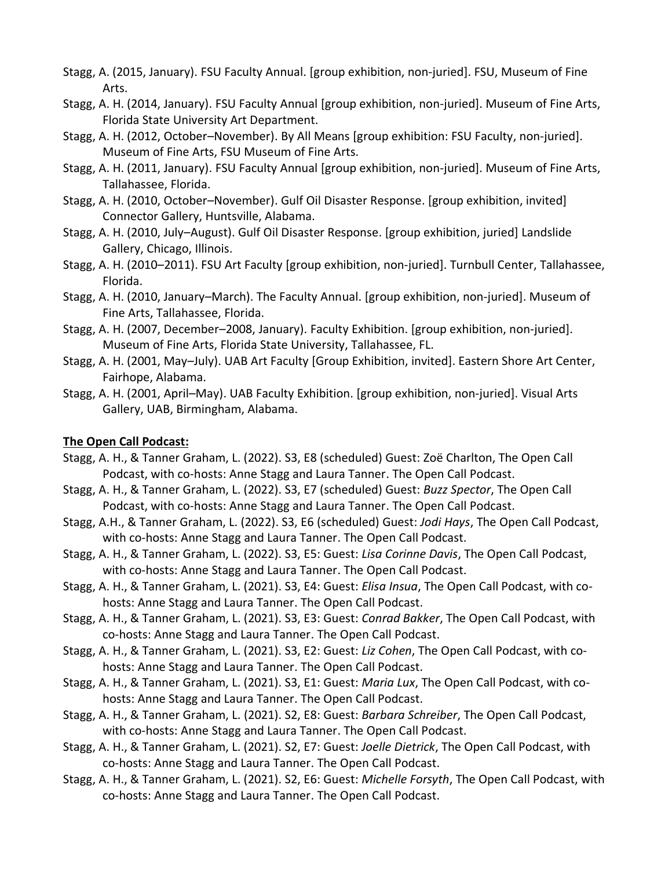- Stagg, A. (2015, January). FSU Faculty Annual. [group exhibition, non-juried]. FSU, Museum of Fine Arts.
- Stagg, A. H. (2014, January). FSU Faculty Annual [group exhibition, non-juried]. Museum of Fine Arts, Florida State University Art Department.
- Stagg, A. H. (2012, October–November). By All Means [group exhibition: FSU Faculty, non-juried]. Museum of Fine Arts, FSU Museum of Fine Arts.
- Stagg, A. H. (2011, January). FSU Faculty Annual [group exhibition, non-juried]. Museum of Fine Arts, Tallahassee, Florida.
- Stagg, A. H. (2010, October–November). Gulf Oil Disaster Response. [group exhibition, invited] Connector Gallery, Huntsville, Alabama.
- Stagg, A. H. (2010, July–August). Gulf Oil Disaster Response. [group exhibition, juried] Landslide Gallery, Chicago, Illinois.
- Stagg, A. H. (2010–2011). FSU Art Faculty [group exhibition, non-juried]. Turnbull Center, Tallahassee, Florida.
- Stagg, A. H. (2010, January–March). The Faculty Annual. [group exhibition, non-juried]. Museum of Fine Arts, Tallahassee, Florida.
- Stagg, A. H. (2007, December–2008, January). Faculty Exhibition. [group exhibition, non-juried]. Museum of Fine Arts, Florida State University, Tallahassee, FL.
- Stagg, A. H. (2001, May–July). UAB Art Faculty [Group Exhibition, invited]. Eastern Shore Art Center, Fairhope, Alabama.
- Stagg, A. H. (2001, April–May). UAB Faculty Exhibition. [group exhibition, non-juried]. Visual Arts Gallery, UAB, Birmingham, Alabama.

#### **The Open Call Podcast:**

- Stagg, A. H., & Tanner Graham, L. (2022). S3, E8 (scheduled) Guest: Zoë Charlton, The Open Call Podcast, with co-hosts: Anne Stagg and Laura Tanner. The Open Call Podcast.
- Stagg, A. H., & Tanner Graham, L. (2022). S3, E7 (scheduled) Guest: *Buzz Spector*, The Open Call Podcast, with co-hosts: Anne Stagg and Laura Tanner. The Open Call Podcast.
- Stagg, A.H., & Tanner Graham, L. (2022). S3, E6 (scheduled) Guest: *Jodi Hays*, The Open Call Podcast, with co-hosts: Anne Stagg and Laura Tanner. The Open Call Podcast.
- Stagg, A. H., & Tanner Graham, L. (2022). S3, E5: Guest: *Lisa Corinne Davis*, The Open Call Podcast, with co-hosts: Anne Stagg and Laura Tanner. The Open Call Podcast.
- Stagg, A. H., & Tanner Graham, L. (2021). S3, E4: Guest: *Elisa Insua*, The Open Call Podcast, with cohosts: Anne Stagg and Laura Tanner. The Open Call Podcast.
- Stagg, A. H., & Tanner Graham, L. (2021). S3, E3: Guest: *Conrad Bakker*, The Open Call Podcast, with co-hosts: Anne Stagg and Laura Tanner. The Open Call Podcast.
- Stagg, A. H., & Tanner Graham, L. (2021). S3, E2: Guest: *Liz Cohen*, The Open Call Podcast, with cohosts: Anne Stagg and Laura Tanner. The Open Call Podcast.
- Stagg, A. H., & Tanner Graham, L. (2021). S3, E1: Guest: *Maria Lux*, The Open Call Podcast, with cohosts: Anne Stagg and Laura Tanner. The Open Call Podcast.
- Stagg, A. H., & Tanner Graham, L. (2021). S2, E8: Guest: *Barbara Schreiber*, The Open Call Podcast, with co-hosts: Anne Stagg and Laura Tanner. The Open Call Podcast.
- Stagg, A. H., & Tanner Graham, L. (2021). S2, E7: Guest: *Joelle Dietrick*, The Open Call Podcast, with co-hosts: Anne Stagg and Laura Tanner. The Open Call Podcast.
- Stagg, A. H., & Tanner Graham, L. (2021). S2, E6: Guest: *Michelle Forsyth*, The Open Call Podcast, with co-hosts: Anne Stagg and Laura Tanner. The Open Call Podcast.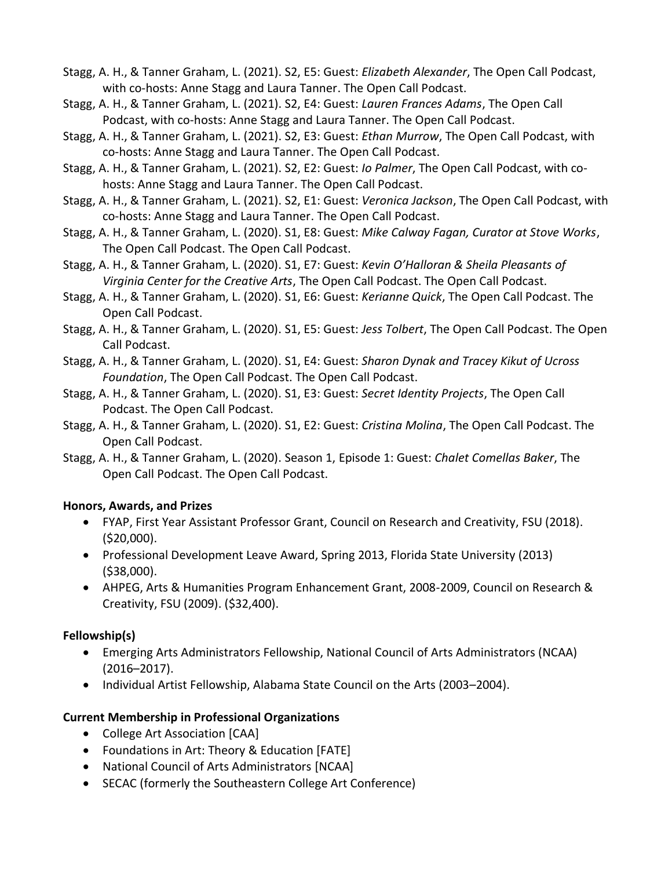- Stagg, A. H., & Tanner Graham, L. (2021). S2, E5: Guest: *Elizabeth Alexander*, The Open Call Podcast, with co-hosts: Anne Stagg and Laura Tanner. The Open Call Podcast.
- Stagg, A. H., & Tanner Graham, L. (2021). S2, E4: Guest: *Lauren Frances Adams*, The Open Call Podcast, with co-hosts: Anne Stagg and Laura Tanner. The Open Call Podcast.
- Stagg, A. H., & Tanner Graham, L. (2021). S2, E3: Guest: *Ethan Murrow*, The Open Call Podcast, with co-hosts: Anne Stagg and Laura Tanner. The Open Call Podcast.
- Stagg, A. H., & Tanner Graham, L. (2021). S2, E2: Guest: *Io Palmer*, The Open Call Podcast, with cohosts: Anne Stagg and Laura Tanner. The Open Call Podcast.
- Stagg, A. H., & Tanner Graham, L. (2021). S2, E1: Guest: *Veronica Jackson*, The Open Call Podcast, with co-hosts: Anne Stagg and Laura Tanner. The Open Call Podcast.
- Stagg, A. H., & Tanner Graham, L. (2020). S1, E8: Guest: *Mike Calway Fagan, Curator at Stove Works*, The Open Call Podcast. The Open Call Podcast.
- Stagg, A. H., & Tanner Graham, L. (2020). S1, E7: Guest: *Kevin O'Halloran & Sheila Pleasants of Virginia Center for the Creative Arts*, The Open Call Podcast. The Open Call Podcast.
- Stagg, A. H., & Tanner Graham, L. (2020). S1, E6: Guest: *Kerianne Quick*, The Open Call Podcast. The Open Call Podcast.
- Stagg, A. H., & Tanner Graham, L. (2020). S1, E5: Guest: *Jess Tolbert*, The Open Call Podcast. The Open Call Podcast.
- Stagg, A. H., & Tanner Graham, L. (2020). S1, E4: Guest: *Sharon Dynak and Tracey Kikut of Ucross Foundation*, The Open Call Podcast. The Open Call Podcast.
- Stagg, A. H., & Tanner Graham, L. (2020). S1, E3: Guest: *Secret Identity Projects*, The Open Call Podcast. The Open Call Podcast.
- Stagg, A. H., & Tanner Graham, L. (2020). S1, E2: Guest: *Cristina Molina*, The Open Call Podcast. The Open Call Podcast.
- Stagg, A. H., & Tanner Graham, L. (2020). Season 1, Episode 1: Guest: *Chalet Comellas Baker*, The Open Call Podcast. The Open Call Podcast.

### **Honors, Awards, and Prizes**

- FYAP, First Year Assistant Professor Grant, Council on Research and Creativity, FSU (2018). (\$20,000).
- Professional Development Leave Award, Spring 2013, Florida State University (2013) (\$38,000).
- AHPEG, Arts & Humanities Program Enhancement Grant, 2008-2009, Council on Research & Creativity, FSU (2009). (\$32,400).

# **Fellowship(s)**

- Emerging Arts Administrators Fellowship, National Council of Arts Administrators (NCAA) (2016–2017).
- Individual Artist Fellowship, Alabama State Council on the Arts (2003–2004).

# **Current Membership in Professional Organizations**

- College Art Association [CAA]
- Foundations in Art: Theory & Education [FATE]
- National Council of Arts Administrators [NCAA]
- SECAC (formerly the Southeastern College Art Conference)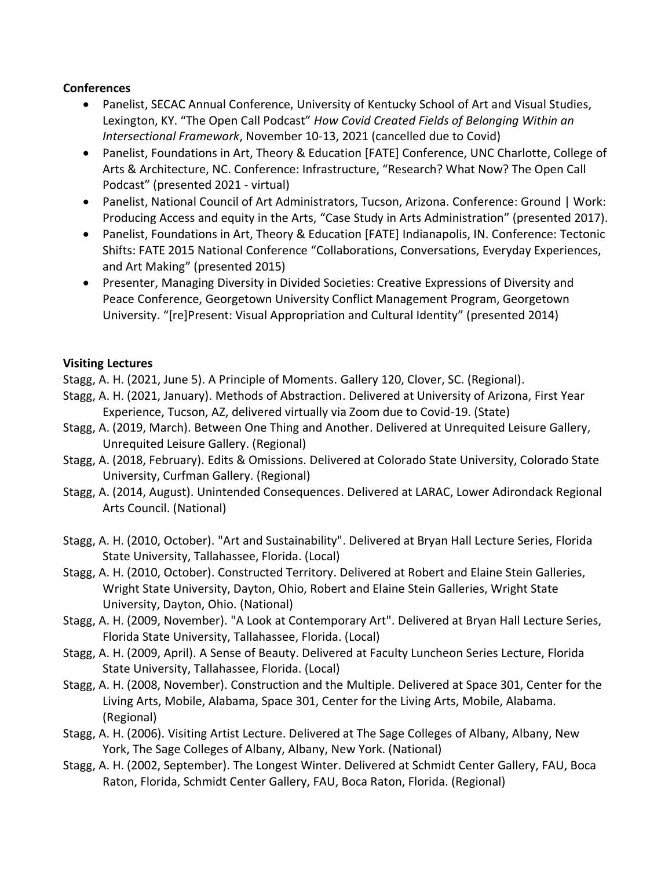### **Conferences**

- Panelist, SECAC Annual Conference, University of Kentucky School of Art and Visual Studies, Lexington, KY. "The Open Call Podcast" *How Covid Created Fields of Belonging Within an Intersectional Framework*, November 10-13, 2021 (cancelled due to Covid)
- Panelist, Foundations in Art, Theory & Education [FATE] Conference, UNC Charlotte, College of Arts & Architecture, NC. Conference: Infrastructure, "Research? What Now? The Open Call Podcast" (presented 2021 - virtual)
- Panelist, National Council of Art Administrators, Tucson, Arizona. Conference: Ground | Work: Producing Access and equity in the Arts, "Case Study in Arts Administration" (presented 2017).
- Panelist, Foundations in Art, Theory & Education [FATE] Indianapolis, IN. Conference: Tectonic Shifts: FATE 2015 National Conference "Collaborations, Conversations, Everyday Experiences, and Art Making" (presented 2015)
- Presenter, Managing Diversity in Divided Societies: Creative Expressions of Diversity and Peace Conference, Georgetown University Conflict Management Program, Georgetown University. "[re]Present: Visual Appropriation and Cultural Identity" (presented 2014)

#### **Visiting Lectures**

- Stagg, A. H. (2021, June 5). A Principle of Moments. Gallery 120, Clover, SC. (Regional).
- Stagg, A. H. (2021, January). Methods of Abstraction. Delivered at University of Arizona, First Year Experience, Tucson, AZ, delivered virtually via Zoom due to Covid-19. (State)
- Stagg, A. (2019, March). Between One Thing and Another. Delivered at Unrequited Leisure Gallery, Unrequited Leisure Gallery. (Regional)
- Stagg, A. (2018, February). Edits & Omissions. Delivered at Colorado State University, Colorado State University, Curfman Gallery. (Regional)
- Stagg, A. (2014, August). Unintended Consequences. Delivered at LARAC, Lower Adirondack Regional Arts Council. (National)
- Stagg, A. H. (2010, October). "Art and Sustainability". Delivered at Bryan Hall Lecture Series, Florida State University, Tallahassee, Florida. (Local)
- Stagg, A. H. (2010, October). Constructed Territory. Delivered at Robert and Elaine Stein Galleries, Wright State University, Dayton, Ohio, Robert and Elaine Stein Galleries, Wright State University, Dayton, Ohio. (National)
- Stagg, A. H. (2009, November). "A Look at Contemporary Art". Delivered at Bryan Hall Lecture Series, Florida State University, Tallahassee, Florida. (Local)
- Stagg, A. H. (2009, April). A Sense of Beauty. Delivered at Faculty Luncheon Series Lecture, Florida State University, Tallahassee, Florida. (Local)
- Stagg, A. H. (2008, November). Construction and the Multiple. Delivered at Space 301, Center for the Living Arts, Mobile, Alabama, Space 301, Center for the Living Arts, Mobile, Alabama. (Regional)
- Stagg, A. H. (2006). Visiting Artist Lecture. Delivered at The Sage Colleges of Albany, Albany, New York, The Sage Colleges of Albany, Albany, New York. (National)
- Stagg, A. H. (2002, September). The Longest Winter. Delivered at Schmidt Center Gallery, FAU, Boca Raton, Florida, Schmidt Center Gallery, FAU, Boca Raton, Florida. (Regional)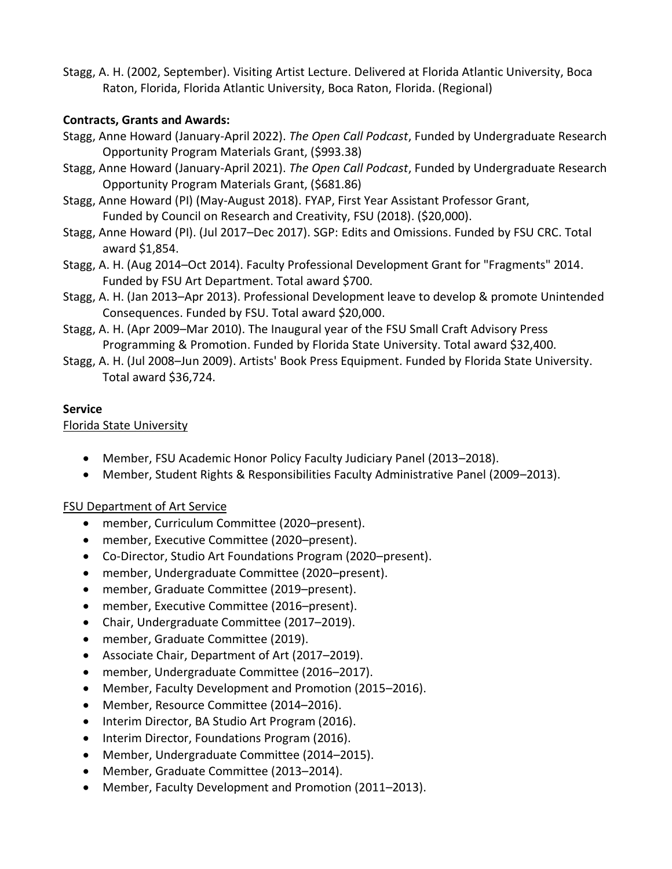Stagg, A. H. (2002, September). Visiting Artist Lecture. Delivered at Florida Atlantic University, Boca Raton, Florida, Florida Atlantic University, Boca Raton, Florida. (Regional)

### **Contracts, Grants and Awards:**

- Stagg, Anne Howard (January-April 2022). *The Open Call Podcast*, Funded by Undergraduate Research Opportunity Program Materials Grant, (\$993.38)
- Stagg, Anne Howard (January-April 2021). *The Open Call Podcast*, Funded by Undergraduate Research Opportunity Program Materials Grant, (\$681.86)
- Stagg, Anne Howard (PI) (May-August 2018). FYAP, First Year Assistant Professor Grant, Funded by Council on Research and Creativity, FSU (2018). (\$20,000).
- Stagg, Anne Howard (PI). (Jul 2017–Dec 2017). SGP: Edits and Omissions. Funded by FSU CRC. Total award \$1,854.
- Stagg, A. H. (Aug 2014–Oct 2014). Faculty Professional Development Grant for "Fragments" 2014. Funded by FSU Art Department. Total award \$700.
- Stagg, A. H. (Jan 2013–Apr 2013). Professional Development leave to develop & promote Unintended Consequences. Funded by FSU. Total award \$20,000.
- Stagg, A. H. (Apr 2009–Mar 2010). The Inaugural year of the FSU Small Craft Advisory Press Programming & Promotion. Funded by Florida State University. Total award \$32,400.
- Stagg, A. H. (Jul 2008–Jun 2009). Artists' Book Press Equipment. Funded by Florida State University. Total award \$36,724.

### **Service**

### Florida State University

- Member, FSU Academic Honor Policy Faculty Judiciary Panel (2013–2018).
- Member, Student Rights & Responsibilities Faculty Administrative Panel (2009–2013).

# **FSU Department of Art Service**

- member, Curriculum Committee (2020–present).
- member, Executive Committee (2020–present).
- Co-Director, Studio Art Foundations Program (2020–present).
- member, Undergraduate Committee (2020–present).
- member, Graduate Committee (2019–present).
- member, Executive Committee (2016–present).
- Chair, Undergraduate Committee (2017–2019).
- member, Graduate Committee (2019).
- Associate Chair, Department of Art (2017–2019).
- member, Undergraduate Committee (2016–2017).
- Member, Faculty Development and Promotion (2015–2016).
- Member, Resource Committee (2014–2016).
- Interim Director, BA Studio Art Program (2016).
- Interim Director, Foundations Program (2016).
- Member, Undergraduate Committee (2014–2015).
- Member, Graduate Committee (2013–2014).
- Member, Faculty Development and Promotion (2011–2013).